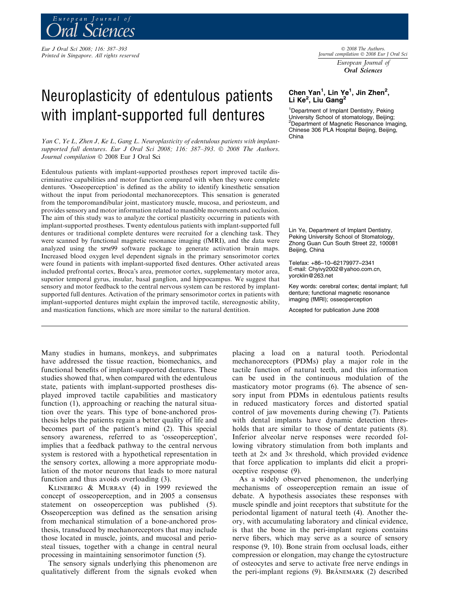Eur J Oral Sci 2008; 116: 387–393 Printed in Singapore. All rights reserved

Neuroplasticity of edentulous patients with implant-supported full dentures

Yan C, Ye L, Zhen J, Ke L, Gang L. Neuroplasticity of edentulous patients with implantsupported full dentures. Eur J Oral Sci 2008; 116: 387–393. © 2008 The Authors. Journal compilation © 2008 Eur J Oral Sci

Edentulous patients with implant-supported prostheses report improved tactile discriminative capabilities and motor function compared with when they wore complete dentures. 'Osseoperception' is defined as the ability to identify kinesthetic sensation without the input from periodontal mechanoreceptors. This sensation is generated from the temporomandibular joint, masticatory muscle, mucosa, and periosteum, and provides sensory and motor information related to mandible movements and occlusion. The aim of this study was to analyze the cortical plasticity occurring in patients with implant-supported prostheses. Twenty edentulous patients with implant-supported full dentures or traditional complete dentures were recruited for a clenching task. They were scanned by functional magnetic resonance imaging (fMRI), and the data were analyzed using the spm99 software package to generate activation brain maps. Increased blood oxygen level dependent signals in the primary sensorimotor cortex were found in patients with implant-supported fixed dentures. Other activated areas included prefrontal cortex, Broca's area, premotor cortex, supplementary motor area, superior temporal gyrus, insular, basal ganglion, and hippocampus. We suggest that sensory and motor feedback to the central nervous system can be restored by implantsupported full dentures. Activation of the primary sensorimotor cortex in patients with implant-supported dentures might explain the improved tactile, stereognostic ability, and mastication functions, which are more similar to the natural dentition.

Many studies in humans, monkeys, and subprimates have addressed the tissue reaction, biomechanics, and functional benefits of implant-supported dentures. These studies showed that, when compared with the edentulous state, patients with implant-supported prostheses displayed improved tactile capabilities and masticatory function (1), approaching or reaching the natural situation over the years. This type of bone-anchored prosthesis helps the patients regain a better quality of life and becomes part of the patient's mind (2). This special sensory awareness, referred to as 'osseoperception', implies that a feedback pathway to the central nervous system is restored with a hypothetical representation in the sensory cortex, allowing a more appropriate modulation of the motor neurons that leads to more natural function and thus avoids overloading (3).

Klineberg & Murray (4) in 1999 reviewed the concept of osseoperception, and in 2005 a consensus statement on osseoperception was published (5). Osseoperception was defined as the sensation arising from mechanical stimulation of a bone-anchored prosthesis, transduced by mechanoreceptors that may include those located in muscle, joints, and mucosal and periosteal tissues, together with a change in central neural processing in maintaining sensorimotor function (5).

The sensory signals underlying this phenomenon are qualitatively different from the signals evoked when

 $\odot$  2008 The Authors. Journal compilation © 2008 Eur J Oral Sci European Journal of Oral Sciences

## Chen Yan<sup>1</sup>, Lin Ye<sup>1</sup>, Jin Zhen<sup>2</sup>, Li Ke<sup>2</sup>, Liu Gang<sup>2</sup>

1 Department of Implant Dentistry, Peking University School of stomatology, Beijing; 2 Department of Magnetic Resonance Imaging, Chinese 306 PLA Hospital Beijing, Beijing, China

Lin Ye, Department of Implant Dentistry, Peking University School of Stomatology, Zhong Guan Cun South Street 22, 100081 Beijing, China

Telefax: +86–10–62179977–2341 E-mail: Chyivy2002@yahoo.com.cn, yorcklin@263.net

Key words: cerebral cortex; dental implant; full denture; functional magnetic resonance imaging (fMRI); osseoperception

Accepted for publication June 2008

placing a load on a natural tooth. Periodontal mechanoreceptors (PDMs) play a major role in the tactile function of natural teeth, and this information can be used in the continuous modulation of the masticatory motor programs (6). The absence of sensory input from PDMs in edentulous patients results in reduced masticatory forces and distorted spatial control of jaw movements during chewing (7). Patients with dental implants have dynamic detection thresholds that are similar to those of dentate patients (8). Inferior alveolar nerve responses were recorded following vibratory stimulation from both implants and teeth at  $2\times$  and  $3\times$  threshold, which provided evidence that force application to implants did elicit a proprioceptive response (9).

As a widely observed phenomenon, the underlying mechanisms of osseoperception remain an issue of debate. A hypothesis associates these responses with muscle spindle and joint receptors that substitute for the periodontal ligament of natural teeth (4). Another theory, with accumulating laboratory and clinical evidence, is that the bone in the peri-implant regions contains nerve fibers, which may serve as a source of sensory response (9, 10). Bone strain from occlusal loads, either compression or elongation, may change the cytostructure of osteocytes and serve to activate free nerve endings in the peri-implant regions (9). BRÅNEMARK (2) described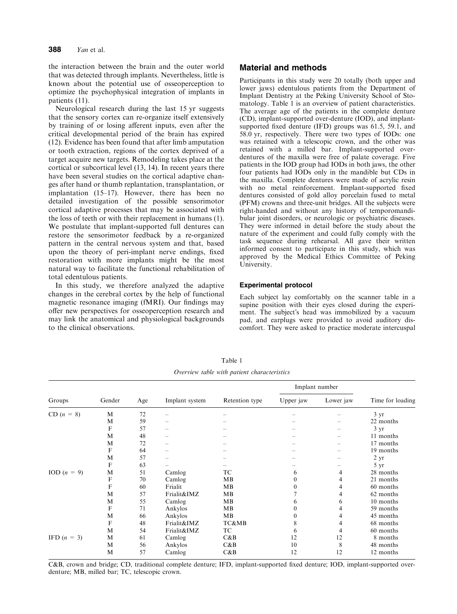the interaction between the brain and the outer world that was detected through implants. Nevertheless, little is known about the potential use of osseoperception to optimize the psychophysical integration of implants in patients (11).

Neurological research during the last 15 yr suggests that the sensory cortex can re-organize itself extensively by training of or losing afferent inputs, even after the critical developmental period of the brain has expired (12). Evidence has been found that after limb amputation or tooth extraction, regions of the cortex deprived of a target acquire new targets. Remodeling takes place at the cortical or subcortical level (13, 14). In recent years there have been several studies on the cortical adaptive changes after hand or thumb replantation, transplantation, or implantation (15–17). However, there has been no detailed investigation of the possible sensorimotor cortical adaptive processes that may be associated with the loss of teeth or with their replacement in humans (1). We postulate that implant-supported full dentures can restore the sensorimotor feedback by a re-organized pattern in the central nervous system and that, based upon the theory of peri-implant nerve endings, fixed restoration with more implants might be the most natural way to facilitate the functional rehabilitation of total edentulous patients.

In this study, we therefore analyzed the adaptive changes in the cerebral cortex by the help of functional magnetic resonance imaging (fMRI). Our findings may offer new perspectives for osseoperception research and may link the anatomical and physiological backgrounds to the clinical observations.

## Material and methods

Participants in this study were 20 totally (both upper and lower jaws) edentulous patients from the Department of Implant Dentistry at the Peking University School of Stomatology. Table 1 is an overview of patient characteristics. The average age of the patients in the complete denture (CD), implant-supported over-denture (IOD), and implantsupported fixed denture (IFD) groups was 61.5, 59.1, and 58.0 yr, respectively. There were two types of IODs: one was retained with a telescopic crown, and the other was retained with a milled bar. Implant-supported overdentures of the maxilla were free of palate coverage. Five patients in the IOD group had IODs in both jaws, the other four patients had IODs only in the mandible but CDs in the maxilla. Complete dentures were made of acrylic resin with no metal reinforcement. Implant-supported fixed dentures consisted of gold alloy porcelain fused to metal (PFM) crowns and three-unit bridges. All the subjects were right-handed and without any history of temporomandibular joint disorders, or neurologic or psychiatric diseases. They were informed in detail before the study about the nature of the experiment and could fully comply with the task sequence during rehearsal. All gave their written informed consent to participate in this study, which was approved by the Medical Ethics Committee of Peking University.

### Experimental protocol

Each subject lay comfortably on the scanner table in a supine position with their eyes closed during the experiment. The subject's head was immobilized by a vacuum pad, and earplugs were provided to avoid auditory discomfort. They were asked to practice moderate intercuspal

| Groups        | Gender | Age | Implant system | Retention type | Implant number |           |                  |
|---------------|--------|-----|----------------|----------------|----------------|-----------|------------------|
|               |        |     |                |                | Upper jaw      | Lower jaw | Time for loading |
| $CD (n = 8)$  | M      | 72  |                |                |                |           | $3 \text{ yr}$   |
|               | M      | 59  |                |                |                |           | 22 months        |
|               | F      | 57  |                |                |                |           | $3 \text{ yr}$   |
|               | M      | 48  |                |                |                |           | 11 months        |
|               | M      | 72  |                |                |                |           | 17 months        |
|               | F      | 64  |                |                |                |           | 19 months        |
|               | M      | 57  |                |                |                |           | 2 <sub>yr</sub>  |
|               | F      | 63  |                |                |                |           | 5 yr             |
| $IOD (n = 9)$ | M      | 51  | Camlog         | TC             | 6              | 4         | 28 months        |
|               | F      | 70  | Camlog         | MB             | 0              | 4         | 21 months        |
|               | F      | 60  | Frialit        | MB             | 0              | 4         | 60 months        |
|               | M      | 57  | Frialit&IMZ    | MB             | $\overline{7}$ | 4         | 62 months        |
|               | M      | 55  | Camlog         | MB             | 6              | 6         | 10 months        |
|               | F      | 71  | Ankylos        | MB             | 0              | 4         | 59 months        |
|               | M      | 66  | Ankylos        | MB             | 0              | 4         | 45 months        |
|               | F      | 48  | Frialit&IMZ    | TC&MB          | 8              | 4         | 68 months        |
|               | M      | 54  | Frialit&IMZ    | TC             | 6              | 4         | 60 months        |
| IFD $(n = 3)$ | M      | 61  | Camlog         | C&B            | 12             | 12        | 8 months         |
|               | M      | 56  | Ankylos        | C&B            | 10             | 8         | 48 months        |
|               | M      | 57  | Camlog         | C&B            | 12             | 12        | 12 months        |

Table 1 Overview table with patient characteristics

C&B, crown and bridge; CD, traditional complete denture; IFD, implant-supported fixed denture; IOD, implant-supported overdenture; MB, milled bar; TC, telescopic crown.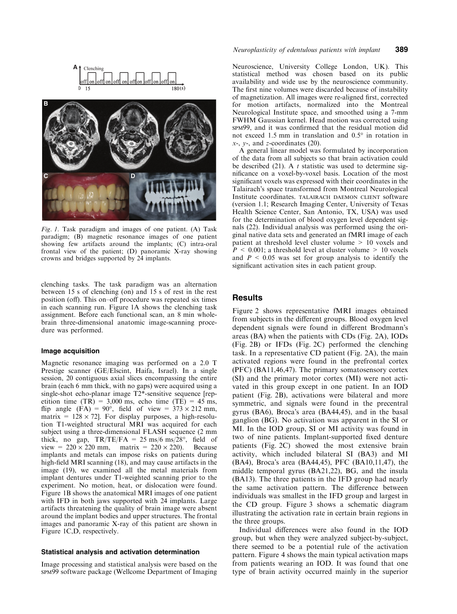



Fig. 1. Task paradigm and images of one patient. (A) Task paradigm; (B) magnetic resonance images of one patient showing few artifacts around the implants; (C) intra-oral frontal view of the patient; (D) panoramic X-ray showing crowns and bridges supported by 24 implants.

clenching tasks. The task paradigm was an alternation between 15 s of clenching (on) and 15 s of rest in the rest position (off). This on–off procedure was repeated six times in each scanning run. Figure 1A shows the clenching task assignment. Before each functional scan, an 8 min wholebrain three-dimensional anatomic image-scanning procedure was performed.

#### Image acquisition

Magnetic resonance imaging was performed on a 2.0 T Prestige scanner (GE/Elscint, Haifa, Israel). In a single session, 20 contiguous axial slices encompassing the entire brain (each 6 mm thick, with no gaps) were acquired using a single-shot echo-planar image T2\*-sensitive sequence [repetition time  $(TR) = 3,000$  ms, echo time  $(TE) = 45$  ms, flip angle  $(FA) = 90^{\circ}$ , field of view = 373 × 212 mm, matrix =  $128 \times 72$ ]. For display purposes, a high-resolution T1-weighted structural MRI was acquired for each subject using a three-dimensional FLASH sequence (2 mm thick, no gap, TR/TE/FA = 25 ms/6 ms/28°, field of<br>view =  $220 \times 220$  mm matrix =  $220 \times 220$ . Because view =  $220 \times 220$  mm, matrix =  $220 \times 220$ ). implants and metals can impose risks on patients during high-field MRI scanning (18), and may cause artifacts in the image (19), we examined all the metal materials from implant dentures under T1-weighted scanning prior to the experiment. No motion, heat, or dislocation were found. Figure 1B shows the anatomical MRI images of one patient with IFD in both jaws supported with 24 implants. Large artifacts threatening the quality of brain image were absent around the implant bodies and upper structures. The frontal images and panoramic X-ray of this patient are shown in Figure 1C,D, respectively.

#### Statistical analysis and activation determination

Image processing and statistical analysis were based on the spm99 software package (Wellcome Department of Imaging Neuroscience, University College London, UK). This statistical method was chosen based on its public availability and wide use by the neuroscience community. The first nine volumes were discarded because of instability of magnetization. All images were re-aligned first, corrected for motion artifacts, normalized into the Montreal Neurological Institute space, and smoothed using a 7-mm FWHM Gaussian kernel. Head motion was corrected using spm99, and it was confirmed that the residual motion did not exceed 1.5 mm in translation and  $0.5^{\circ}$  in rotation in  $x$ -,  $y$ -, and  $z$ -coordinates (20).

A general linear model was formulated by incorporation of the data from all subjects so that brain activation could be described (21). A  $t$  statistic was used to determine significance on a voxel-by-voxel basis. Location of the most significant voxels was expressed with their coordinates in the Talairach's space transformed from Montreal Neurological Institute coordinates. TALAIRACH DAEMON CLIENT software (version 1.1; Research Imaging Center, University of Texas Health Science Center, San Antonio, TX, USA) was used for the determination of blood oxygen level dependent signals (22). Individual analysis was performed using the original native data sets and generated an fMRI image of each patient at threshold level cluster volume > 10 voxels and  $P \le 0.001$ ; a threshold level at cluster volume  $> 10$  voxels and  $P \leq 0.05$  was set for group analysis to identify the significant activation sites in each patient group.

## **Results**

Figure 2 shows representative fMRI images obtained from subjects in the different groups. Blood oxygen level dependent signals were found in different Brodmann's areas (BA) when the patients with CDs (Fig. 2A), IODs (Fig. 2B) or IFDs (Fig. 2C) performed the clenching task. In a representative CD patient (Fig. 2A), the main activated regions were found in the prefrontal cortex (PFC) (BA11,46,47). The primary somatosensory cortex (SI) and the primary motor cortex (MI) were not activated in this group except in one patient. In an IOD patient (Fig. 2B), activations were bilateral and more symmetric, and signals were found in the precentral gyrus (BA6), Broca's area (BA44,45), and in the basal ganglion (BG). No activation was apparent in the SI or MI. In the IOD group, SI or MI activity was found in two of nine patients. Implant-supported fixed denture patients (Fig. 2C) showed the most extensive brain activity, which included bilateral SI (BA3) and MI (BA4), Broca's area (BA44,45), PFC (BA10,11,47), the middle temporal gyrus (BA21,22), BG, and the insula (BA13). The three patients in the IFD group had nearly the same activation pattern. The difference between individuals was smallest in the IFD group and largest in the CD group. Figure 3 shows a schematic diagram illustrating the activation rate in certain brain regions in the three groups.

Individual differences were also found in the IOD group, but when they were analyzed subject-by-subject, there seemed to be a potential rule of the activation pattern. Figure 4 shows the main typical activation maps from patients wearing an IOD. It was found that one type of brain activity occurred mainly in the superior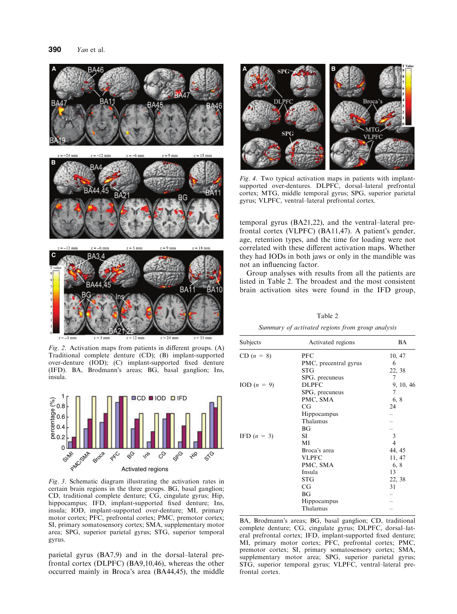

Fig. 2. Activation maps from patients in different groups. (A) Traditional complete denture (CD); (B) implant-supported over-denture (IOD); (C) implant-supported fixed denture (IFD). BA, Brodmann's areas; BG, basal ganglion; Ins, insula.



Fig. 3. Schematic diagram illustrating the activation rates in certain brain regions in the three groups. BG, basal ganglion; CD, traditional complete denture; CG, cingulate gyrus; Hip, hippocampus; IFD, implant-supported fixed denture; Ins, insula; IOD, implant-supported over-denture; MI, primary motor cortex; PFC, prefrontal cortex; PMC, premotor cortex; SI, primary somatosensory cortex; SMA, supplementary motor area; SPG, superior parietal gyrus; STG, superior temporal gyrus.

parietal gyrus (BA7,9) and in the dorsal–lateral prefrontal cortex (DLPFC) (BA9,10,46), whereas the other occurred mainly in Broca's area (BA44,45), the middle



Fig. 4. Two typical activation maps in patients with implantsupported over-dentures. DLPFC, dorsal–lateral prefrontal cortex; MTG, middle temporal gyrus; SPG, superior parietal gyrus; VLPFC, ventral–lateral prefrontal cortex.

temporal gyrus (BA21,22), and the ventral–lateral prefrontal cortex (VLPFC) (BA11,47). A patient's gender, age, retention types, and the time for loading were not correlated with these different activation maps. Whether they had IODs in both jaws or only in the mandible was not an influencing factor.

Group analyses with results from all the patients are listed in Table 2. The broadest and the most consistent brain activation sites were found in the IFD group,

Table 2 Summary of activated regions from group analysis

| Subjects               | Activated regions     | BA<br>10, 47 |  |
|------------------------|-----------------------|--------------|--|
| $CD (n = 8)$           | PFC                   |              |  |
|                        | PMC, precentral gyrus | 6            |  |
|                        | <b>STG</b>            | 22, 38       |  |
|                        | SPG, precuneus        | 7            |  |
| $\text{IOD}$ $(n = 9)$ | <b>DLPFC</b>          | 9, 10, 46    |  |
|                        | SPG, precuneus        | 7            |  |
|                        | PMC, SMA              | 6, 8         |  |
|                        | CG                    | 24           |  |
|                        | Hippocampus           |              |  |
|                        | Thalamus              |              |  |
|                        | BG                    |              |  |
| IFD $(n = 3)$          | SI                    | 3            |  |
|                        | МI                    | 4            |  |
|                        | Broca's area          | 44, 45       |  |
|                        | <b>VLPFC</b>          | 11, 47       |  |
|                        | PMC, SMA              | 6, 8         |  |
|                        | Insula                | 13           |  |
|                        | STG                   | 22, 38       |  |
|                        | CG                    | 31           |  |
|                        | BG                    |              |  |
|                        | Hippocampus           |              |  |
|                        | Thalamus              |              |  |

BA, Brodmann's areas; BG, basal ganglion; CD, traditional complete denture; CG, cingulate gyrus; DLPFC, dorsal–lateral prefrontal cortex; IFD, implant-supported fixed denture; MI, primary motor cortex; PFC, prefrontal cortex; PMC, premotor cortex; SI, primary somatosensory cortex; SMA, supplementary motor area; SPG, superior parietal gyrus; STG, superior temporal gyrus; VLPFC, ventral–lateral prefrontal cortex.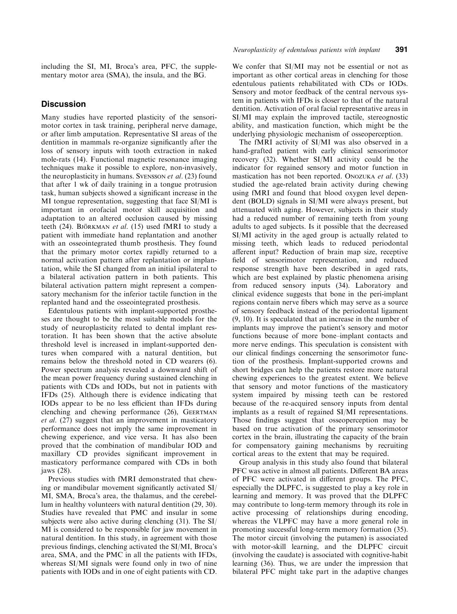including the SI, MI, Broca's area, PFC, the supplementary motor area (SMA), the insula, and the BG.

# **Discussion**

Many studies have reported plasticity of the sensorimotor cortex in task training, peripheral nerve damage, or after limb amputation. Representative SI areas of the dentition in mammals re-organize significantly after the loss of sensory inputs with tooth extraction in naked mole-rats (14). Functional magnetic resonance imaging techniques make it possible to explore, non-invasively, the neuroplasticity in humans. Svensson et al. (23) found that after 1 wk of daily training in a tongue protrusion task, human subjects showed a significant increase in the MI tongue representation, suggesting that face SI/MI is important in orofacial motor skill acquisition and adaptation to an altered occlusion caused by missing teeth (24). Björkman *et al.* (15) used fMRI to study a patient with immediate hand replantation and another with an osseointegrated thumb prosthesis. They found that the primary motor cortex rapidly returned to a normal activation pattern after replantation or implantation, while the SI changed from an initial ipsilateral to a bilateral activation pattern in both patients. This bilateral activation pattern might represent a compensatory mechanism for the inferior tactile function in the replanted hand and the osseointegrated prosthesis.

Edentulous patients with implant-supported prostheses are thought to be the most suitable models for the study of neuroplasticity related to dental implant restoration. It has been shown that the active absolute threshold level is increased in implant-supported dentures when compared with a natural dentition, but remains below the threshold noted in CD wearers (6). Power spectrum analysis revealed a downward shift of the mean power frequency during sustained clenching in patients with CDs and IODs, but not in patients with IFDs (25). Although there is evidence indicating that IODs appear to be no less efficient than IFDs during clenching and chewing performance (26), Geertman et al. (27) suggest that an improvement in masticatory performance does not imply the same improvement in chewing experience, and vice versa. It has also been proved that the combination of mandibular IOD and maxillary CD provides significant improvement in masticatory performance compared with CDs in both jaws (28).

Previous studies with fMRI demonstrated that chewing or mandibular movement significantly activated SI/ MI, SMA, Broca's area, the thalamus, and the cerebellum in healthy volunteers with natural dentition (29, 30). Studies have revealed that PMC and insular in some subjects were also active during clenching (31). The SI/ MI is considered to be responsible for jaw movement in natural dentition. In this study, in agreement with those previous findings, clenching activated the SI/MI, Broca's area, SMA, and the PMC in all the patients with IFDs, whereas SI/MI signals were found only in two of nine patients with IODs and in one of eight patients with CD.

We confer that SI/MI may not be essential or not as important as other cortical areas in clenching for those edentulous patients rehabilitated with CDs or IODs. Sensory and motor feedback of the central nervous system in patients with IFDs is closer to that of the natural dentition. Activation of oral facial representative areas in SI/MI may explain the improved tactile, stereognostic ability, and mastication function, which might be the underlying physiologic mechanism of osseoperception.

The fMRI activity of SI/MI was also observed in a hand-grafted patient with early clinical sensorimotor recovery (32). Whether SI/MI activity could be the indicator for regained sensory and motor function in mastication has not been reported. Onozuka et al. (33) studied the age-related brain activity during chewing using fMRI and found that blood oxygen level dependent (BOLD) signals in SI/MI were always present, but attenuated with aging. However, subjects in their study had a reduced number of remaining teeth from young adults to aged subjects. Is it possible that the decreased SI/MI activity in the aged group is actually related to missing teeth, which leads to reduced periodontal afferent input? Reduction of brain map size, receptive field of sensorimotor representation, and reduced response strength have been described in aged rats, which are best explained by plastic phenomena arising from reduced sensory inputs (34). Laboratory and clinical evidence suggests that bone in the peri-implant regions contain nerve fibers which may serve as a source of sensory feedback instead of the periodontal ligament (9, 10). It is speculated that an increase in the number of implants may improve the patient's sensory and motor functions because of more bone–implant contacts and more nerve endings. This speculation is consistent with our clinical findings concerning the sensorimotor function of the prosthesis. Implant-supported crowns and short bridges can help the patients restore more natural chewing experiences to the greatest extent. We believe that sensory and motor functions of the masticatory system impaired by missing teeth can be restored because of the re-acquired sensory inputs from dental implants as a result of regained SI/MI representations. Those findings suggest that osseoperception may be based on true activation of the primary sensorimotor cortex in the brain, illustrating the capacity of the brain for compensatory gaining mechanisms by recruiting cortical areas to the extent that may be required.

Group analysis in this study also found that bilateral PFC was active in almost all patients. Different BA areas of PFC were activated in different groups. The PFC, especially the DLPFC, is suggested to play a key role in learning and memory. It was proved that the DLPFC may contribute to long-term memory through its role in active processing of relationships during encoding, whereas the VLPFC may have a more general role in promoting successful long-term memory formation (35). The motor circuit (involving the putamen) is associated with motor-skill learning, and the DLPFC circuit (involving the caudate) is associated with cognitive-habit learning (36). Thus, we are under the impression that bilateral PFC might take part in the adaptive changes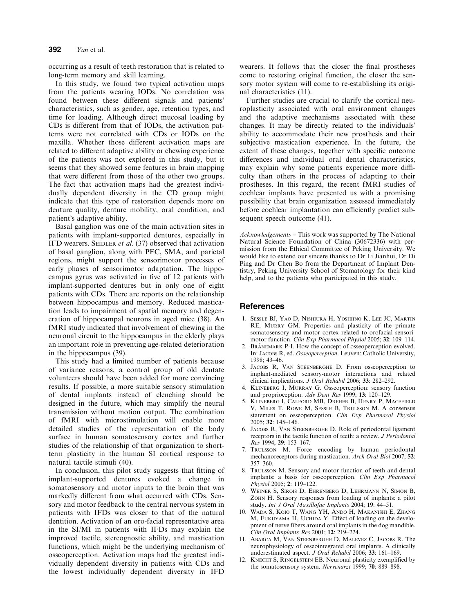occurring as a result of teeth restoration that is related to long-term memory and skill learning.

In this study, we found two typical activation maps from the patients wearing IODs. No correlation was found between these different signals and patients' characteristics, such as gender, age, retention types, and time for loading. Although direct mucosal loading by CDs is different from that of IODs, the activation patterns were not correlated with CDs or IODs on the maxilla. Whether those different activation maps are related to different adaptive ability or chewing experience of the patients was not explored in this study, but it seems that they showed some features in brain mapping that were different from those of the other two groups. The fact that activation maps had the greatest individually dependent diversity in the CD group might indicate that this type of restoration depends more on denture quality, denture mobility, oral condition, and patient's adaptive ability.

Basal ganglion was one of the main activation sites in patients with implant-supported dentures, especially in IFD wearers. SEIDLER et al. (37) observed that activation of basal ganglion, along with PFC, SMA, and parietal regions, might support the sensorimotor processes of early phases of sensorimotor adaptation. The hippocampus gyrus was activated in five of 12 patients with implant-supported dentures but in only one of eight patients with CDs. There are reports on the relationship between hippocampus and memory. Reduced mastication leads to impairment of spatial memory and degeneration of hippocampal neurons in aged mice (38). An fMRI study indicated that involvement of chewing in the neuronal circuit to the hippocampus in the elderly plays an important role in preventing age-related deterioration in the hippocampus (39).

This study had a limited number of patients because of variance reasons, a control group of old dentate volunteers should have been added for more convincing results. If possible, a more suitable sensory stimulation of dental implants instead of clenching should be designed in the future, which may simplify the neural transmission without motion output. The combination of fMRI with microstimulation will enable more detailed studies of the representation of the body surface in human somatosensory cortex and further studies of the relationship of that organization to shortterm plasticity in the human SI cortical response to natural tactile stimuli (40).

In conclusion, this pilot study suggests that fitting of implant-supported dentures evoked a change in somatosensory and motor inputs to the brain that was markedly different from what occurred with CDs. Sensory and motor feedback to the central nervous system in patients with IFDs was closer to that of the natural dentition. Activation of an oro-facial representative area in the SI/MI in patients with IFDs may explain the improved tactile, stereognostic ability, and mastication functions, which might be the underlying mechanism of osseoperception. Activation maps had the greatest individually dependent diversity in patients with CDs and the lowest individually dependent diversity in IFD

wearers. It follows that the closer the final prostheses come to restoring original function, the closer the sensory motor system will come to re-establishing its original characteristics (11).

Further studies are crucial to clarify the cortical neuroplasticity associated with oral environment changes and the adaptive mechanisms associated with these changes. It may be directly related to the individuals ability to accommodate their new prosthesis and their subjective mastication experience. In the future, the extent of these changes, together with specific outcome differences and individual oral dental characteristics, may explain why some patients experience more difficulty than others in the process of adapting to their prostheses. In this regard, the recent fMRI studies of cochlear implants have presented us with a promising possibility that brain organization assessed immediately before cochlear implantation can efficiently predict subsequent speech outcome (41).

Acknowledgements – This work was supported by The National Natural Science Foundation of China (30672336) with permission from the Ethical Committee of Peking University. We would like to extend our sincere thanks to Dr Li Jianhui, Dr Di Ping and Dr Chen Bo from the Department of Implant Dentistry, Peking University School of Stomatology for their kind help, and to the patients who participated in this study.

## References

- 1. Sessle BJ, Yao D, Nishiura H, Yoshiino K, Lee JC, Martin RE, MURRY GM. Properties and plasticity of the primate somatosensory and motor cortex related to orofacial sensorimotor function. Clin Exp Pharmacol Physiol 2005; 32: 109–114.
- 2. BRÅNEMARK P-I. How the concept of osseoperception evolved. In: Jacobs R, ed. Osseoperception. Leuven: Catholic University, 1998; 43–46.
- 3. Jacobs R, Van Steenberghe D. From osseoperception to implant-mediated sensory-motor interactions and related clinical implications. J Oral Rehabil 2006; 33: 282–292.
- 4. Klineberg I, Murray G. Osseoperception: sensory function and proprioception. Adv Dent Res 1999; 13: 120–129.
- 5. Klineberg I, Calford MB, Dreher B, Henry P, Macefield V, Miles T, Rowe M, Sessle B, Trulsson M. A consensus statement on osseoperception. Clin Exp Pharmacol Physiol 2005; 32: 145–146.
- 6. Jacobs R, Van Steenberghe D. Role of periodontal ligament receptors in the tactile function of teeth: a review. J Periodontal  $R_{\text{ex}}$  1994; 29: 153–167.
- 7. Trulsson M. Force encoding by human periodontal mechanoreceptors during mastication. *Arch Oral Biol* 2007: **52**: 357–360.
- 8. Trulsson M. Sensory and motor function of teeth and dental implants: a basis for osseoperception. Clin Exp Pharmacol Physiol 2005; 2: 119–122.
- 9. Weiner S, Sirois D, Ehrenberg D, Lehrmann N, Simon B, Zohn H. Sensory responses from loading of implants: a pilot study. Int J Oral Maxillofac Implants 2004; 19: 44–51.
- 10. Wada S, Koio T, Wang YH, Ando H, Makanishi E, Zhang M, FUKUYAMA H, UCHIDA Y. Effect of loading on the development of nerve fibers around oral implants in the dog mandible. Clin Oral Implants Res 2001; 12: 219–224.
- 11. Abarca M, Van Steenberghe D, Malevez C, Jacobs R. The neurophysiology of osseointegrated oral implants. A clinically underestimated aspect. J Oral Rehabil 2006; 33: 161–169.
- 12. Knecht S, Ringelstein EB. Neuronal plasticity exemplified by the somatosensory system. Nervenarzt 1999; 70: 889–898.